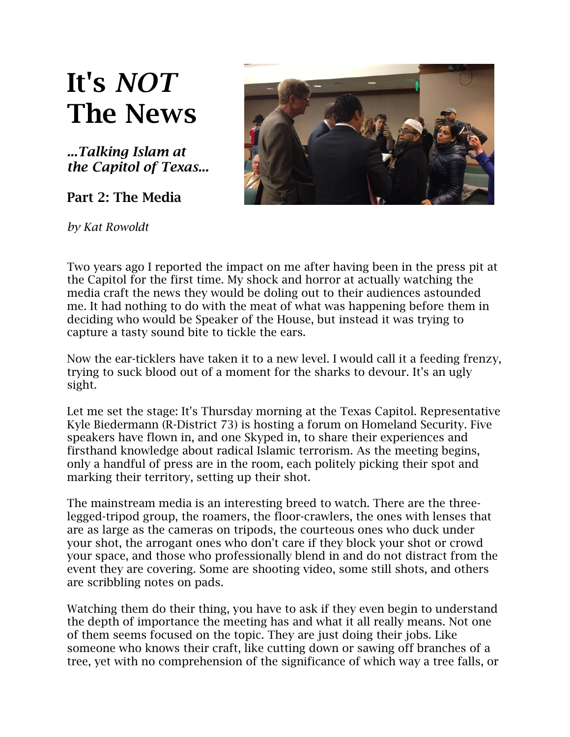## **It's** *NOT* **The News**

*...Talking Islam at the Capitol of Texas...*

**Part 2: The Media**



*by Kat Rowoldt*

Two years ago I reported the impact on me after having been in the press pit at the Capitol for the first time. My shock and horror at actually watching the media craft the news they would be doling out to their audiences astounded me. It had nothing to do with the meat of what was happening before them in deciding who would be Speaker of the House, but instead it was trying to capture a tasty sound bite to tickle the ears.

Now the ear-ticklers have taken it to a new level. I would call it a feeding frenzy, trying to suck blood out of a moment for the sharks to devour. It's an ugly sight.

Let me set the stage: It's [Thursday morning](x-apple-data-detectors://embedded-result/663) at the Texas Capitol. Representative Kyle Biedermann (R-District 73) is hosting a forum on Homeland Security. Five speakers have flown in, and one Skyped in, to share their experiences and firsthand knowledge about radical Islamic terrorism. As the meeting begins, only a handful of press are in the room, each politely picking their spot and marking their territory, setting up their shot.

The mainstream media is an interesting breed to watch. There are the threelegged-tripod group, the roamers, the floor-crawlers, the ones with lenses that are as large as the cameras on tripods, the courteous ones who duck under your shot, the arrogant ones who don't care if they block your shot or crowd your space, and those who professionally blend in and do not distract from the event they are covering. Some are shooting video, some still shots, and others are scribbling notes on pads.

Watching them do their thing, you have to ask if they even begin to understand the depth of importance the meeting has and what it all really means. Not one of them seems focused on the topic. They are just doing their jobs. Like someone who knows their craft, like cutting down or sawing off branches of a tree, yet with no comprehension of the significance of which way a tree falls, or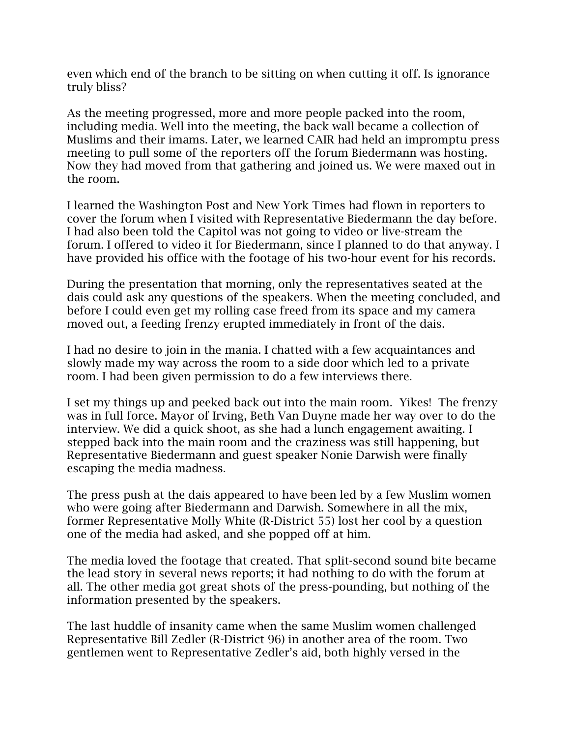even which end of the branch to be sitting on when cutting it off. Is ignorance truly bliss?

As the meeting progressed, more and more people packed into the room, including media. Well into the meeting, the back wall became a collection of Muslims and their imams. Later, we learned CAIR had held an impromptu press meeting to pull some of the reporters off the forum Biedermann was hosting. Now they had moved from that gathering and joined us. We were maxed out in the room.

I learned the Washington Post and New York Times had flown in reporters to cover the forum when I visited with Representative Biedermann the day before. I had also been told the Capitol was not going to video or live-stream the forum. I offered to video it for Biedermann, since I planned to do that anyway. I have provided his office with the footage of his two-hour event for his records.

During the presentation that morning, only the representatives seated at the dais could ask any questions of the speakers. When the meeting concluded, and before I could even get my rolling case freed from its space and my camera moved out, a feeding frenzy erupted immediately in front of the dais.

I had no desire to join in the mania. I chatted with a few acquaintances and slowly made my way across the room to a side door which led to a private room. I had been given permission to do a few interviews there.

I set my things up and peeked back out into the main room. Yikes! The frenzy was in full force. Mayor of Irving, Beth Van Duyne made her way over to do the interview. We did a quick shoot, as she had a lunch engagement awaiting. I stepped back into the main room and the craziness was still happening, but Representative Biedermann and guest speaker Nonie Darwish were finally escaping the media madness.

The press push at the dais appeared to have been led by a few Muslim women who were going after Biedermann and Darwish. Somewhere in all the mix, former Representative Molly White (R-District 55) lost her cool by a question one of the media had asked, and she popped off at him.

The media loved the footage that created. That split-second sound bite became the lead story in several news reports; it had nothing to do with the forum at all. The other media got great shots of the press-pounding, but nothing of the information presented by the speakers.

The last huddle of insanity came when the same Muslim women challenged Representative Bill Zedler (R-District 96) in another area of the room. Two gentlemen went to Representative Zedler's aid, both highly versed in the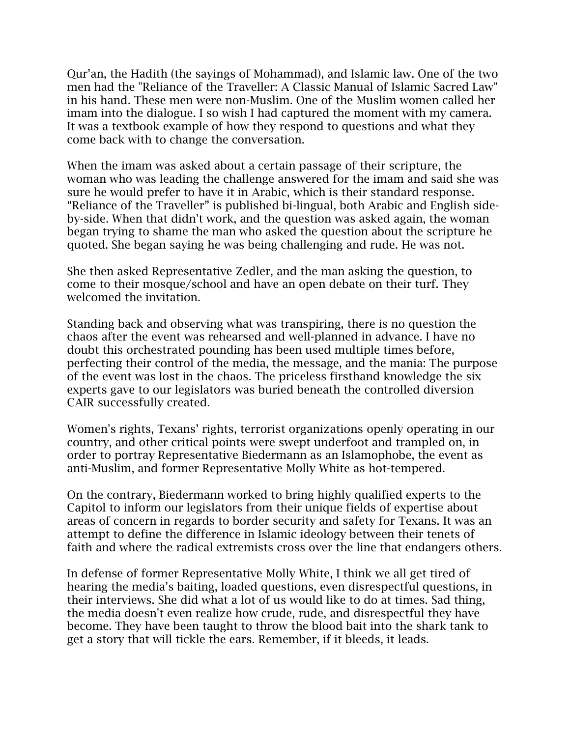Qur'an, the Hadith (the sayings of Mohammad), and Islamic law. One of the two men had the "Reliance of the Traveller: A Classic Manual of Islamic Sacred Law" in his hand. These men were non-Muslim. One of the Muslim women called her imam into the dialogue. I so wish I had captured the moment with my camera. It was a textbook example of how they respond to questions and what they come back with to change the conversation.

When the imam was asked about a certain passage of their scripture, the woman who was leading the challenge answered for the imam and said she was sure he would prefer to have it in Arabic, which is their standard response. "Reliance of the Traveller" is published bi-lingual, both Arabic and English sideby-side. When that didn't work, and the question was asked again, the woman began trying to shame the man who asked the question about the scripture he quoted. She began saying he was being challenging and rude. He was not.

She then asked Representative Zedler, and the man asking the question, to come to their mosque/school and have an open debate on their turf. They welcomed the invitation.

Standing back and observing what was transpiring, there is no question the chaos after the event was rehearsed and well-planned in advance. I have no doubt this orchestrated pounding has been used multiple times before, perfecting their control of the media, the message, and the mania: The purpose of the event was lost in the chaos. The priceless firsthand knowledge the six experts gave to our legislators was buried beneath the controlled diversion CAIR successfully created.

Women's rights, Texans' rights, terrorist organizations openly operating in our country, and other critical points were swept underfoot and trampled on, in order to portray Representative Biedermann as an Islamophobe, the event as anti-Muslim, and former Representative Molly White as hot-tempered.

On the contrary, Biedermann worked to bring highly qualified experts to the Capitol to inform our legislators from their unique fields of expertise about areas of concern in regards to border security and safety for Texans. It was an attempt to define the difference in Islamic ideology between their tenets of faith and where the radical extremists cross over the line that endangers others.

In defense of former Representative Molly White, I think we all get tired of hearing the media's baiting, loaded questions, even disrespectful questions, in their interviews. She did what a lot of us would like to do at times. Sad thing, the media doesn't even realize how crude, rude, and disrespectful they have become. They have been taught to throw the blood bait into the shark tank to get a story that will tickle the ears. Remember, if it bleeds, it leads.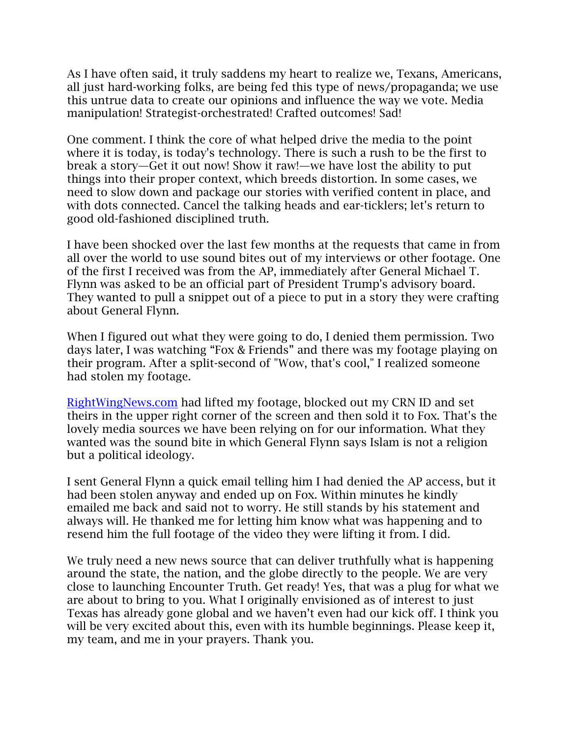As I have often said, it truly saddens my heart to realize we, Texans, Americans, all just hard-working folks, are being fed this type of news/propaganda; we use this untrue data to create our opinions and influence the way we vote. Media manipulation! Strategist-orchestrated! Crafted outcomes! Sad!

One comment. I think the core of what helped drive the media to the point where it is today, is today's technology. There is such a rush to be the first to break a story—Get it out now! Show it raw!—we have lost the ability to put things into their proper context, which breeds distortion. In some cases, we need to slow down and package our stories with verified content in place, and with dots connected. Cancel the talking heads and ear-ticklers; let's return to good old-fashioned disciplined truth.

I have been shocked over the last few months at the requests that came in from all over the world to use sound bites out of my interviews or other footage. One of the first I received was from the AP, immediately after General Michael T. Flynn was asked to be an official part of President Trump's advisory board. They wanted to pull a snippet out of a piece to put in a story they were crafting about General Flynn.

When I figured out what they were going to do, I denied them permission. Two days later, I was watching "Fox & Friends" and there was my footage playing on their program. After a split-second of "Wow, that's cool," I realized someone had stolen my footage.

[RightWingNews.com](http://rightwingnews.com/) had lifted my footage, blocked out my CRN ID and set theirs in the upper right corner of the screen and then sold it to Fox. That's the lovely media sources we have been relying on for our information. What they wanted was the sound bite in which General Flynn says Islam is not a religion but a political ideology.

I sent General Flynn a quick email telling him I had denied the AP access, but it had been stolen anyway and ended up on Fox. Within minutes he kindly emailed me back and said not to worry. He still stands by his statement and always will. He thanked me for letting him know what was happening and to resend him the full footage of the video they were lifting it from. I did.

We truly need a new news source that can deliver truthfully what is happening around the state, the nation, and the globe directly to the people. We are very close to launching Encounter Truth. Get ready! Yes, that was a plug for what we are about to bring to you. What I originally envisioned as of interest to just Texas has already gone global and we haven't even had our kick off. I think you will be very excited about this, even with its humble beginnings. Please keep it, my team, and me in your prayers. Thank you.